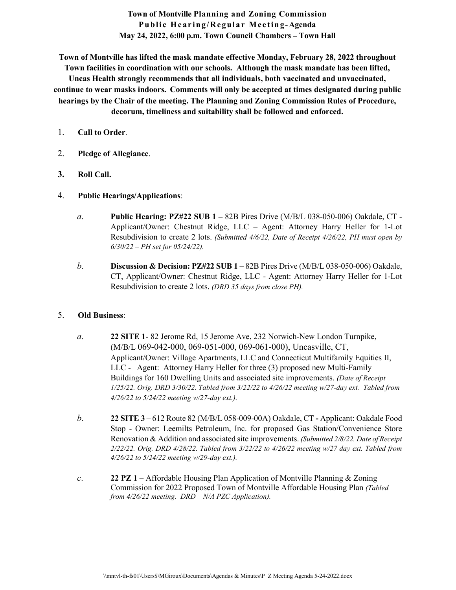**Town of Montville Planning and Zoning Commission Public Hearing/Regular Meeting-Agenda May 24, 2022, 6:00 p.m. Town Council Chambers – Town Hall**

**Town of Montville has lifted the mask mandate effective Monday, February 28, 2022 throughout Town facilities in coordination with our schools. Although the mask mandate has been lifted, Uncas Health strongly recommends that all individuals, both vaccinated and unvaccinated, continue to wear masks indoors. Comments will only be accepted at times designated during public hearings by the Chair of the meeting. The Planning and Zoning Commission Rules of Procedure, decorum, timeliness and suitability shall be followed and enforced.**

- 1. **Call to Order**.
- 2. **Pledge of Allegiance**.
- **3. Roll Call.**
- 4. **Public Hearings/Applications**:
	- *a.* **Public Hearing: PZ#22 SUB 1 –** 82B Pires Drive (M/B/L 038-050-006) Oakdale, CT Applicant/Owner: Chestnut Ridge, LLC – Agent: Attorney Harry Heller for 1-Lot Resubdivision to create 2 lots. *(Submitted 4/6/22, Date of Receipt 4/26/22, PH must open by 6/30/22 – PH set for 05/24/22).*
	- *b.* **Discussion & Decision: PZ#22 SUB 1 –** 82B Pires Drive (M/B/L 038-050-006) Oakdale, CT, Applicant/Owner: Chestnut Ridge, LLC - Agent: Attorney Harry Heller for 1-Lot Resubdivision to create 2 lots. *(DRD 35 days from close PH).*

## 5. **Old Business**:

- *a.* **22 SITE 1-** 82 Jerome Rd, 15 Jerome Ave, 232 Norwich-New London Turnpike, (M/B/L 069-042-000, 069-051-000, 069-061-000), Uncasville, CT, Applicant/Owner: Village Apartments, LLC and Connecticut Multifamily Equities II, LLC - Agent: Attorney Harry Heller for three (3) proposed new Multi-Family Buildings for 160 Dwelling Units and associated site improvements. *(Date of Receipt 1/25/22. Orig. DRD 3/30/22. Tabled from 3/22/22 to 4/26/22 meeting w/27-day ext. Tabled from 4/26/22 to 5/24/22 meeting w/27-day ext.).*
- *b.* **22 SITE 3**  612 Route 82 (M/B/L 058-009-00A) Oakdale, CT **-** Applicant: Oakdale Food Stop - Owner: Leemilts Petroleum, Inc. for proposed Gas Station/Convenience Store Renovation & Addition and associated site improvements. *(Submitted 2/8/22. Date of Receipt 2/22/22. Orig. DRD 4/28/22. Tabled from 3/22/22 to 4/26/22 meeting w/27 day ext. Tabled from 4/26/22 to 5/24/22 meeting w/29-day ext.).*
- *c.* **22 PZ 1** *–* Affordable Housing Plan Application of Montville Planning & Zoning Commission for 2022 Proposed Town of Montville Affordable Housing Plan *(Tabled from 4/26/22 meeting. DRD – N/A PZC Application).*